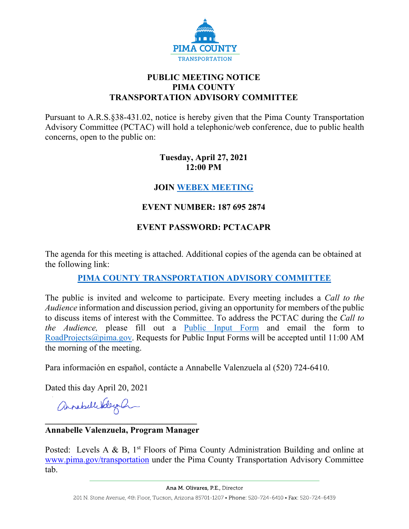

## **PUBLIC MEETING NOTICE PIMA COUNTY TRANSPORTATION ADVISORY COMMITTEE**

Pursuant to A.R.S.§38-431.02, notice is hereby given that the Pima County Transportation Advisory Committee (PCTAC) will hold a telephonic/web conference, due to public health concerns, open to the public on:

### **Tuesday, April 27, 2021 12:00 PM**

## **JOIN [WEBEX MEETING](https://pimacounty.webex.com/mw3300/mywebex/default.do?siteurl=pimacounty&service=6)**

# **EVENT NUMBER: 187 695 2874**

# **EVENT PASSWORD: PCTACAPR**

The agenda for this meeting is attached. Additional copies of the agenda can be obtained at the following link:

# **[PIMA COUNTY TRANSPORTATION ADVISORY COMMITTEE](https://webcms.pima.gov/cms/One.aspx?portalId=169&pageId=355530)**

The public is invited and welcome to participate. Every meeting includes a *Call to the Audience* information and discussion period, giving an opportunity for members of the public to discuss items of interest with the Committee. To address the PCTAC during the *Call to the Audience,* please fill out a [Public Input Form](https://webcms.pima.gov/UserFiles/Servers/Server_6/File/Government/Transportation/TransportationAdvisoryCommittee/PCTAC_Speaker_Card.pdf) and email the form to [RoadProjects@pima.gov.](mailto:RoadProjects@pima.gov) Requests for Public Input Forms will be accepted until 11:00 AM the morning of the meeting.

Para información en español, contácte a Annabelle Valenzuela al (520) 724-6410.

Dated this day April 20, 2021

annahellebelegan

#### **\_\_\_\_\_\_\_\_\_\_\_\_\_\_\_\_\_\_\_\_\_\_\_\_\_\_\_\_\_\_\_\_\_\_\_ Annabelle Valenzuela, Program Manager**

Posted: Levels A & B,  $1<sup>st</sup>$  Floors of Pima County Administration Building and online at [www.pima.gov/transportation](http://www.pima.gov/transportation) under the Pima County Transportation Advisory Committee tab.